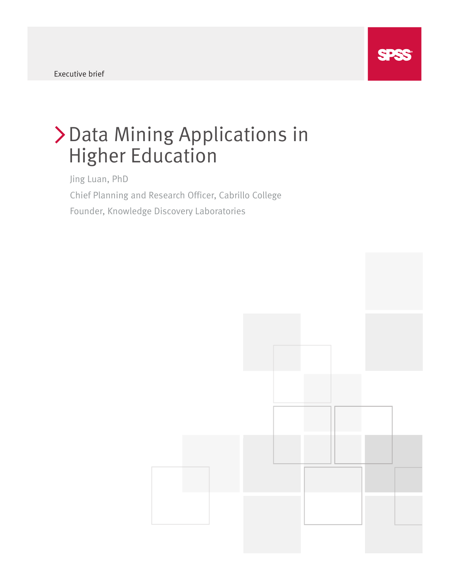# Data Mining Applications in Higher Education

Jing Luan, PhD Chief Planning and Research Officer, Cabrillo College Founder, Knowledge Discovery Laboratories

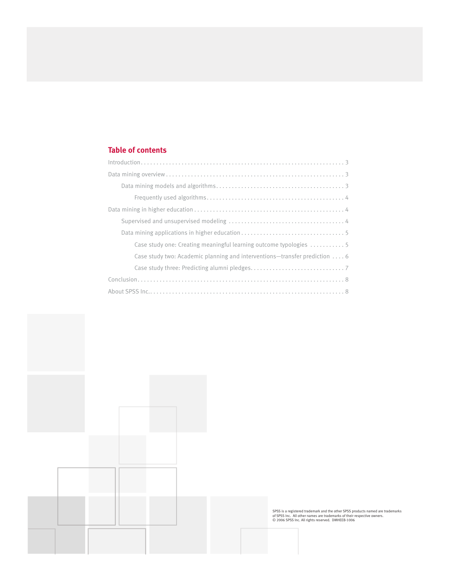# **Table of contents**

| Case study one: Creating meaningful learning outcome typologies 5          |
|----------------------------------------------------------------------------|
| Case study two: Academic planning and interventions—transfer prediction  6 |
|                                                                            |
|                                                                            |
|                                                                            |



SPSS is a registered trademark and the other SPSS products named are trademarks<br>of SPSS Inc. All other names are trademarks of their respective owners.<br>© 2006 SPSS Inc. All rights reserved. DMHEEB-1006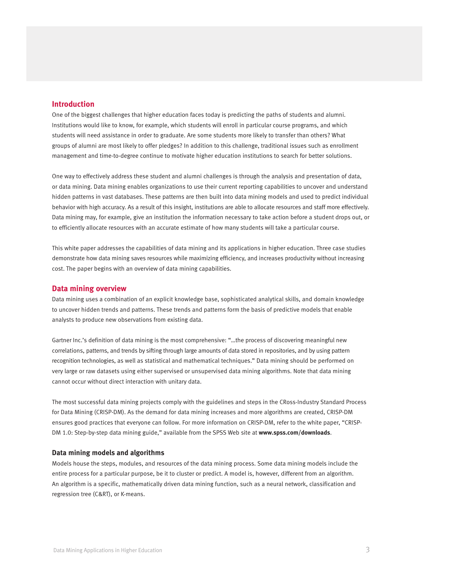# **Introduction**

One of the biggest challenges that higher education faces today is predicting the paths of students and alumni. Institutions would like to know, for example, which students will enroll in particular course programs, and which students will need assistance in order to graduate. Are some students more likely to transfer than others? What groups of alumni are most likely to offer pledges? In addition to this challenge, traditional issues such as enrollment management and time-to-degree continue to motivate higher education institutions to search for better solutions.

One way to effectively address these student and alumni challenges is through the analysis and presentation of data, or data mining. Data mining enables organizations to use their current reporting capabilities to uncover and understand hidden patterns in vast databases. These patterns are then built into data mining models and used to predict individual behavior with high accuracy. As a result of this insight, institutions are able to allocate resources and staff more effectively. Data mining may, for example, give an institution the information necessary to take action before a student drops out, or to efficiently allocate resources with an accurate estimate of how many students will take a particular course.

This white paper addresses the capabilities of data mining and its applications in higher education. Three case studies demonstrate how data mining saves resources while maximizing efficiency, and increases productivity without increasing cost. The paper begins with an overview of data mining capabilities.

### **Data mining overview**

Data mining uses a combination of an explicit knowledge base, sophisticated analytical skills, and domain knowledge to uncover hidden trends and patterns. These trends and patterns form the basis of predictive models that enable analysts to produce new observations from existing data.

Gartner Inc.'s definition of data mining is the most comprehensive: "…the process of discovering meaningful new correlations, patterns, and trends by sifting through large amounts of data stored in repositories, and by using pattern recognition technologies, as well as statistical and mathematical techniques." Data mining should be performed on very large or raw datasets using either supervised or unsupervised data mining algorithms. Note that data mining cannot occur without direct interaction with unitary data.

The most successful data mining projects comply with the guidelines and steps in the CRoss-Industry Standard Process for Data Mining (CRISP-DM). As the demand for data mining increases and more algorithms are created, CRISP-DM ensures good practices that everyone can follow. For more information on CRISP-DM, refer to the white paper, "CRISP-DM 1.0: Step-by-step data mining guide," available from the SPSS Web site at **www.spss.com/downloads**.

### **Data mining models and algorithms**

Models house the steps, modules, and resources of the data mining process. Some data mining models include the entire process for a particular purpose, be it to cluster or predict. A model is, however, different from an algorithm. An algorithm is a specific, mathematically driven data mining function, such as a neural network, classification and regression tree (C&RT), or K-means.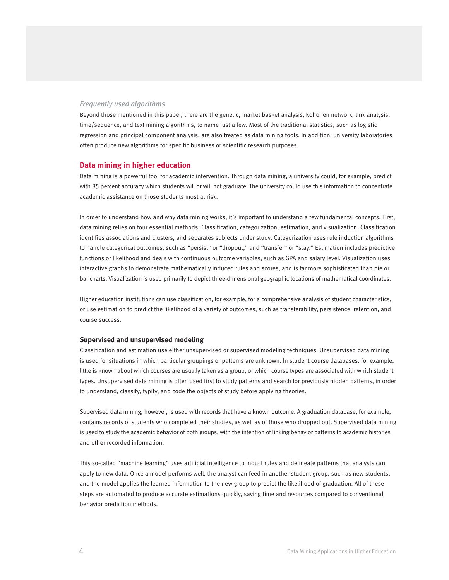# *Frequently used algorithms*

Beyond those mentioned in this paper, there are the genetic, market basket analysis, Kohonen network, link analysis, time/sequence, and text mining algorithms, to name just a few. Most of the traditional statistics, such as logistic regression and principal component analysis, are also treated as data mining tools. In addition, university laboratories often produce new algorithms for specific business or scientific research purposes.

## **Data mining in higher education**

Data mining is a powerful tool for academic intervention. Through data mining, a university could, for example, predict with 85 percent accuracy which students will or will not graduate. The university could use this information to concentrate academic assistance on those students most at risk.

In order to understand how and why data mining works, it's important to understand a few fundamental concepts. First, data mining relies on four essential methods: Classification, categorization, estimation, and visualization. Classification identifies associations and clusters, and separates subjects under study. Categorization uses rule induction algorithms to handle categorical outcomes, such as "persist" or "dropout," and "transfer" or "stay." Estimation includes predictive functions or likelihood and deals with continuous outcome variables, such as GPA and salary level. Visualization uses interactive graphs to demonstrate mathematically induced rules and scores, and is far more sophisticated than pie or bar charts. Visualization is used primarily to depict three-dimensional geographic locations of mathematical coordinates.

Higher education institutions can use classification, for example, for a comprehensive analysis of student characteristics, or use estimation to predict the likelihood of a variety of outcomes, such as transferability, persistence, retention, and course success.

### **Supervised and unsupervised modeling**

Classification and estimation use either unsupervised or supervised modeling techniques. Unsupervised data mining is used for situations in which particular groupings or patterns are unknown. In student course databases, for example, little is known about which courses are usually taken as a group, or which course types are associated with which student types. Unsupervised data mining is often used first to study patterns and search for previously hidden patterns, in order to understand, classify, typify, and code the objects of study before applying theories.

Supervised data mining, however, is used with records that have a known outcome. A graduation database, for example, contains records of students who completed their studies, as well as of those who dropped out. Supervised data mining is used to study the academic behavior of both groups, with the intention of linking behavior patterns to academic histories and other recorded information.

This so-called "machine learning" uses artificial intelligence to induct rules and delineate patterns that analysts can apply to new data. Once a model performs well, the analyst can feed in another student group, such as new students, and the model applies the learned information to the new group to predict the likelihood of graduation. All of these steps are automated to produce accurate estimations quickly, saving time and resources compared to conventional behavior prediction methods.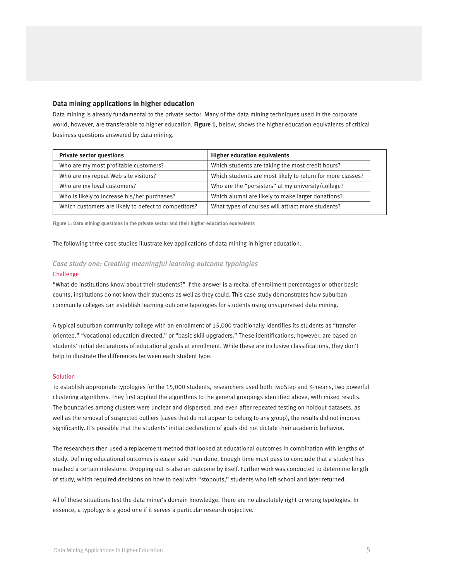### **Data mining applications in higher education**

Data mining is already fundamental to the private sector. Many of the data mining techniques used in the corporate world, however, are transferable to higher education. **Figure 1**, below, shows the higher education equivalents of critical business questions answered by data mining.

| <b>Higher education equivalents</b>                        |
|------------------------------------------------------------|
| Which students are taking the most credit hours?           |
| Which students are most likely to return for more classes? |
| Who are the "persisters" at my university/college?         |
| Which alumni are likely to make larger donations?          |
| What types of courses will attract more students?          |
|                                                            |

**Figure 1: Data mining questions in the private sector and their higher education equivalents**

The following three case studies illustrate key applications of data mining in higher education.

# *Case study one: Creating meaningful learning outcome typologies* Challenge

"What do institutions know about their students?" If the answer is a recital of enrollment percentages or other basic counts, institutions do not know their students as well as they could. This case study demonstrates how suburban community colleges can establish learning outcome typologies for students using unsupervised data mining.

A typical suburban community college with an enrollment of 15,000 traditionally identifies its students as "transfer oriented," "vocational education directed," or "basic skill upgraders." These identifications, however, are based on students' initial declarations of educational goals at enrollment. While these are inclusive classifications, they don't help to illustrate the differences between each student type.

### **Solution**

To establish appropriate typologies for the 15,000 students, researchers used both TwoStep and K-means, two powerful clustering algorithms. They first applied the algorithms to the general groupings identified above, with mixed results. The boundaries among clusters were unclear and dispersed, and even after repeated testing on holdout datasets, as well as the removal of suspected outliers (cases that do not appear to belong to any group), the results did not improve significantly. It's possible that the students' initial declaration of goals did not dictate their academic behavior.

The researchers then used a replacement method that looked at educational outcomes in combination with lengths of study. Defining educational outcomes is easier said than done. Enough time must pass to conclude that a student has reached a certain milestone. Dropping out is also an outcome by itself. Further work was conducted to determine length of study, which required decisions on how to deal with "stopouts," students who left school and later returned.

All of these situations test the data miner's domain knowledge. There are no absolutely right or wrong typologies. In essence, a typology is a good one if it serves a particular research objective.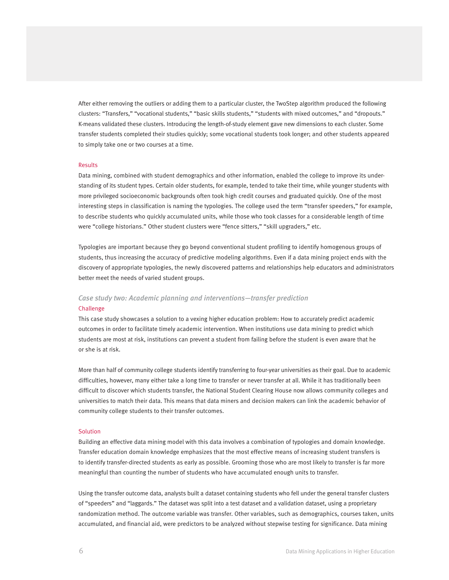After either removing the outliers or adding them to a particular cluster, the TwoStep algorithm produced the following clusters: "Transfers," "vocational students," "basic skills students," "students with mixed outcomes," and "dropouts." K-means validated these clusters. Introducing the length-of-study element gave new dimensions to each cluster. Some transfer students completed their studies quickly; some vocational students took longer; and other students appeared to simply take one or two courses at a time.

### Results

Data mining, combined with student demographics and other information, enabled the college to improve its understanding of its student types. Certain older students, for example, tended to take their time, while younger students with more privileged socioeconomic backgrounds often took high credit courses and graduated quickly. One of the most interesting steps in classification is naming the typologies. The college used the term "transfer speeders," for example, to describe students who quickly accumulated units, while those who took classes for a considerable length of time were "college historians." Other student clusters were "fence sitters," "skill upgraders," etc.

Typologies are important because they go beyond conventional student profiling to identify homogenous groups of students, thus increasing the accuracy of predictive modeling algorithms. Even if a data mining project ends with the discovery of appropriate typologies, the newly discovered patterns and relationships help educators and administrators better meet the needs of varied student groups.

# *Case study two: Academic planning and interventions—transfer prediction*

### Challenge

This case study showcases a solution to a vexing higher education problem: How to accurately predict academic outcomes in order to facilitate timely academic intervention. When institutions use data mining to predict which students are most at risk, institutions can prevent a student from failing before the student is even aware that he or she is at risk.

More than half of community college students identify transferring to four-year universities as their goal. Due to academic difficulties, however, many either take a long time to transfer or never transfer at all. While it has traditionally been difficult to discover which students transfer, the National Student Clearing House now allows community colleges and universities to match their data. This means that data miners and decision makers can link the academic behavior of community college students to their transfer outcomes.

### Solution

Building an effective data mining model with this data involves a combination of typologies and domain knowledge. Transfer education domain knowledge emphasizes that the most effective means of increasing student transfers is to identify transfer-directed students as early as possible. Grooming those who are most likely to transfer is far more meaningful than counting the number of students who have accumulated enough units to transfer.

Using the transfer outcome data, analysts built a dataset containing students who fell under the general transfer clusters of "speeders" and "laggards." The dataset was split into a test dataset and a validation dataset, using a proprietary randomization method. The outcome variable was transfer. Other variables, such as demographics, courses taken, units accumulated, and financial aid, were predictors to be analyzed without stepwise testing for significance. Data mining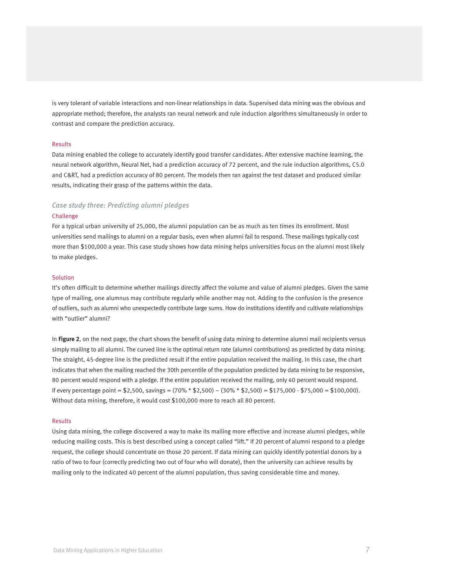is very tolerant of variable interactions and non-linear relationships in data. Supervised data mining was the obvious and appropriate method; therefore, the analysts ran neural network and rule induction algorithms simultaneously in order to contrast and compare the prediction accuracy.

### Results

Data mining enabled the college to accurately identify good transfer candidates. After extensive machine learning, the neural network algorithm, Neural Net, had a prediction accuracy of 72 percent, and the rule induction algorithms, C5.0 and C&RT, had a prediction accuracy of 80 percent. The models then ran against the test dataset and produced similar results, indicating their grasp of the patterns within the data.

# *Case study three: Predicting alumni pledges*

### Challenge

For a typical urban university of 25,000, the alumni population can be as much as ten times its enrollment. Most universities send mailings to alumni on a regular basis, even when alumni fail to respond. These mailings typically cost more than \$100,000 a year. This case study shows how data mining helps universities focus on the alumni most likely to make pledges.

### **Solution**

It's often difficult to determine whether mailings directly affect the volume and value of alumni pledges. Given the same type of mailing, one alumnus may contribute regularly while another may not. Adding to the confusion is the presence of outliers, such as alumni who unexpectedly contribute large sums. How do institutions identify and cultivate relationships with "outlier" alumni?

In **Figure 2**, on the next page, the chart shows the benefit of using data mining to determine alumni mail recipients versus simply mailing to all alumni. The curved line is the optimal return rate (alumni contributions) as predicted by data mining. The straight, 45-degree line is the predicted result if the entire population received the mailing. In this case, the chart indicates that when the mailing reached the 30th percentile of the population predicted by data mining to be responsive, 80 percent would respond with a pledge. If the entire population received the mailing, only 40 percent would respond. If every percentage point = \$2,500, savings =  $(70\% * $2,500) - (30\% * $2,500) = $175,000 - $75,000 = $100,000$ . Without data mining, therefore, it would cost \$100,000 more to reach all 80 percent.

### Results

Using data mining, the college discovered a way to make its mailing more effective and increase alumni pledges, while reducing mailing costs. This is best described using a concept called "lift." If 20 percent of alumni respond to a pledge request, the college should concentrate on those 20 percent. If data mining can quickly identify potential donors by a ratio of two to four (correctly predicting two out of four who will donate), then the university can achieve results by mailing only to the indicated 40 percent of the alumni population, thus saving considerable time and money.